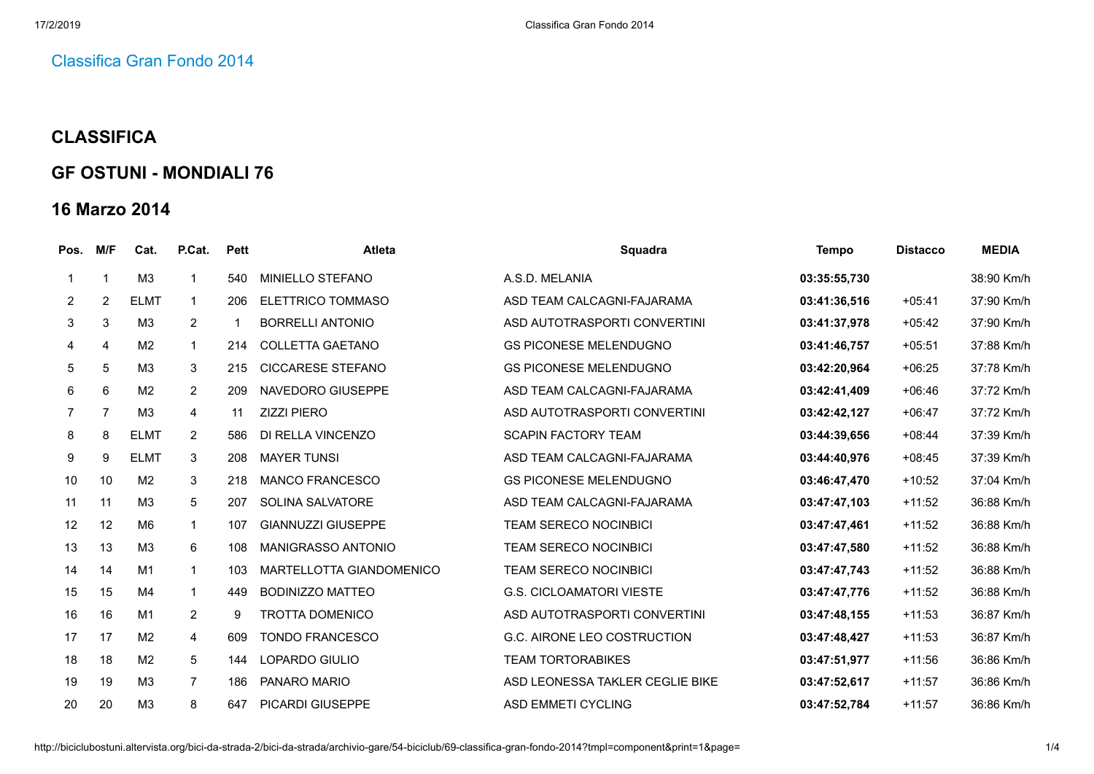## [Classifica](http://biciclubostuni.altervista.org/bici-da-strada-2/bici-da-strada/archivio-gare/54-biciclub/69-classifica-gran-fondo-2014) Gran Fondo 2014

## **CLASSIFICA**

## **GF OSTUNI - MONDIALI 76**

## **16 Marzo 2014**

| Pos.           | M/F            | Cat.           | P.Cat.          | <b>Pett</b> | <b>Atleta</b>             | Squadra                         | Tempo        | <b>Distacco</b> | <b>MEDIA</b> |
|----------------|----------------|----------------|-----------------|-------------|---------------------------|---------------------------------|--------------|-----------------|--------------|
|                | 1              | M <sub>3</sub> | $\overline{1}$  | 540         | MINIELLO STEFANO          | A.S.D. MELANIA                  | 03:35:55,730 |                 | 38:90 Km/h   |
| $\overline{2}$ | $\overline{c}$ | <b>ELMT</b>    | $\mathbf 1$     | 206         | <b>ELETTRICO TOMMASO</b>  | ASD TEAM CALCAGNI-FAJARAMA      | 03:41:36,516 | $+05:41$        | 37:90 Km/h   |
| 3              | 3              | M <sub>3</sub> | $\overline{2}$  |             | <b>BORRELLI ANTONIO</b>   | ASD AUTOTRASPORTI CONVERTINI    | 03:41:37,978 | $+05:42$        | 37:90 Km/h   |
| 4              | $\overline{4}$ | M <sub>2</sub> | $\mathbf{1}$    | 214         | <b>COLLETTA GAETANO</b>   | <b>GS PICONESE MELENDUGNO</b>   | 03:41:46,757 | $+05:51$        | 37:88 Km/h   |
| 5              | 5              | M <sub>3</sub> | 3               | 215         | <b>CICCARESE STEFANO</b>  | <b>GS PICONESE MELENDUGNO</b>   | 03:42:20,964 | $+06:25$        | 37:78 Km/h   |
| 6              | 6              | M <sub>2</sub> | $\overline{2}$  | 209         | NAVEDORO GIUSEPPE         | ASD TEAM CALCAGNI-FAJARAMA      | 03:42:41,409 | $+06:46$        | 37:72 Km/h   |
| $\overline{7}$ | $\overline{7}$ | M <sub>3</sub> | $\overline{4}$  | 11          | <b>ZIZZI PIERO</b>        | ASD AUTOTRASPORTI CONVERTINI    | 03:42:42,127 | $+06:47$        | 37:72 Km/h   |
| 8              | 8              | <b>ELMT</b>    | $\overline{2}$  | 586         | DI RELLA VINCENZO         | <b>SCAPIN FACTORY TEAM</b>      | 03:44:39,656 | $+08:44$        | 37:39 Km/h   |
| 9              | 9              | <b>ELMT</b>    | 3               | 208         | <b>MAYER TUNSI</b>        | ASD TEAM CALCAGNI-FAJARAMA      | 03:44:40,976 | $+08:45$        | 37:39 Km/h   |
| 10             | 10             | M <sub>2</sub> | 3               | 218         | <b>MANCO FRANCESCO</b>    | <b>GS PICONESE MELENDUGNO</b>   | 03:46:47,470 | $+10:52$        | 37:04 Km/h   |
| 11             | 11             | M3             | 5               | 207         | SOLINA SALVATORE          | ASD TEAM CALCAGNI-FAJARAMA      | 03:47:47,103 | $+11:52$        | 36:88 Km/h   |
| 12             | 12             | M <sub>6</sub> | $\mathbf{1}$    | 107         | <b>GIANNUZZI GIUSEPPE</b> | <b>TEAM SERECO NOCINBICI</b>    | 03:47:47,461 | $+11:52$        | 36:88 Km/h   |
| 13             | 13             | M <sub>3</sub> | 6               | 108         | MANIGRASSO ANTONIO        | <b>TEAM SERECO NOCINBICI</b>    | 03:47:47,580 | $+11:52$        | 36:88 Km/h   |
| 14             | 14             | M <sub>1</sub> | $\mathbf{1}$    | 103         | MARTELLOTTA GIANDOMENICO  | <b>TEAM SERECO NOCINBICI</b>    | 03:47:47,743 | $+11:52$        | 36:88 Km/h   |
| 15             | 15             | M <sub>4</sub> | $\mathbf{1}$    | 449         | <b>BODINIZZO MATTEO</b>   | <b>G.S. CICLOAMATORI VIESTE</b> | 03:47:47,776 | $+11:52$        | 36:88 Km/h   |
| 16             | 16             | M1             | $\overline{2}$  | 9           | <b>TROTTA DOMENICO</b>    | ASD AUTOTRASPORTI CONVERTINI    | 03:47:48,155 | $+11:53$        | 36:87 Km/h   |
| 17             | 17             | M <sub>2</sub> | $\overline{4}$  | 609         | <b>TONDO FRANCESCO</b>    | G.C. AIRONE LEO COSTRUCTION     | 03:47:48,427 | $+11:53$        | 36:87 Km/h   |
| 18             | 18             | M <sub>2</sub> | $5\phantom{.0}$ | 144         | LOPARDO GIULIO            | <b>TEAM TORTORABIKES</b>        | 03:47:51,977 | $+11:56$        | 36:86 Km/h   |
| 19             | 19             | M <sub>3</sub> | $\overline{7}$  | 186         | PANARO MARIO              | ASD LEONESSA TAKLER CEGLIE BIKE | 03:47:52,617 | $+11:57$        | 36:86 Km/h   |
| 20             | 20             | M <sub>3</sub> | 8               | 647         | <b>PICARDI GIUSEPPE</b>   | <b>ASD EMMETI CYCLING</b>       | 03:47:52.784 | $+11:57$        | 36:86 Km/h   |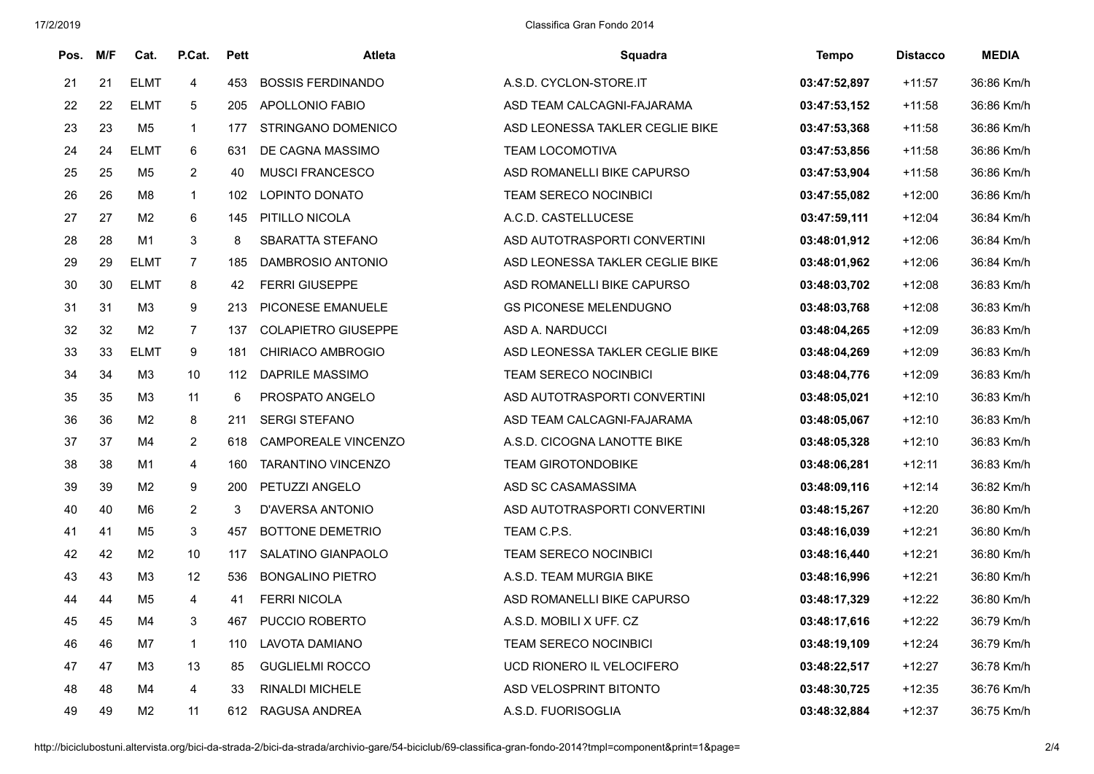| Pos. | M/F | Cat.           | P.Cat.                  | <b>Pett</b> | <b>Atleta</b>              | Squadra                         | <b>Tempo</b> | <b>Distacco</b> | <b>MEDIA</b> |
|------|-----|----------------|-------------------------|-------------|----------------------------|---------------------------------|--------------|-----------------|--------------|
| 21   | 21  | <b>ELMT</b>    | $\overline{4}$          | 453         | <b>BOSSIS FERDINANDO</b>   | A.S.D. CYCLON-STORE.IT          | 03:47:52,897 | $+11:57$        | 36:86 Km/h   |
| 22   | 22  | <b>ELMT</b>    | 5                       | 205         | APOLLONIO FABIO            | ASD TEAM CALCAGNI-FAJARAMA      | 03:47:53,152 | $+11:58$        | 36:86 Km/h   |
| 23   | 23  | M5             | $\mathbf{1}$            | 177         | <b>STRINGANO DOMENICO</b>  | ASD LEONESSA TAKLER CEGLIE BIKE | 03:47:53,368 | +11:58          | 36:86 Km/h   |
| 24   | 24  | <b>ELMT</b>    | 6                       | 631         | DE CAGNA MASSIMO           | <b>TEAM LOCOMOTIVA</b>          | 03:47:53,856 | $+11:58$        | 36:86 Km/h   |
| 25   | 25  | M5             | $\overline{2}$          | 40          | <b>MUSCI FRANCESCO</b>     | ASD ROMANELLI BIKE CAPURSO      | 03:47:53,904 | $+11:58$        | 36:86 Km/h   |
| 26   | 26  | M8             | $\mathbf{1}$            | 102         | <b>LOPINTO DONATO</b>      | TEAM SERECO NOCINBICI           | 03:47:55,082 | $+12:00$        | 36:86 Km/h   |
| 27   | 27  | M <sub>2</sub> | 6                       | 145         | PITILLO NICOLA             | A.C.D. CASTELLUCESE             | 03:47:59,111 | $+12:04$        | 36:84 Km/h   |
| 28   | 28  | M1             | 3                       | 8           | SBARATTA STEFANO           | ASD AUTOTRASPORTI CONVERTINI    | 03:48:01,912 | $+12:06$        | 36:84 Km/h   |
| 29   | 29  | <b>ELMT</b>    | $\overline{7}$          | 185         | DAMBROSIO ANTONIO          | ASD LEONESSA TAKLER CEGLIE BIKE | 03:48:01,962 | $+12:06$        | 36:84 Km/h   |
| 30   | 30  | <b>ELMT</b>    | 8                       | 42          | <b>FERRI GIUSEPPE</b>      | ASD ROMANELLI BIKE CAPURSO      | 03:48:03,702 | $+12:08$        | 36:83 Km/h   |
| 31   | 31  | M3             | 9                       | 213         | PICONESE EMANUELE          | <b>GS PICONESE MELENDUGNO</b>   | 03:48:03,768 | $+12:08$        | 36:83 Km/h   |
| 32   | 32  | M <sub>2</sub> | $\overline{7}$          | 137         | <b>COLAPIETRO GIUSEPPE</b> | ASD A. NARDUCCI                 | 03:48:04,265 | $+12:09$        | 36:83 Km/h   |
| 33   | 33  | <b>ELMT</b>    | 9                       | 181         | <b>CHIRIACO AMBROGIO</b>   | ASD LEONESSA TAKLER CEGLIE BIKE | 03:48:04,269 | $+12:09$        | 36:83 Km/h   |
| 34   | 34  | M3             | 10                      | 112         | <b>DAPRILE MASSIMO</b>     | <b>TEAM SERECO NOCINBICI</b>    | 03:48:04,776 | $+12:09$        | 36:83 Km/h   |
| 35   | 35  | M3             | 11                      | 6           | PROSPATO ANGELO            | ASD AUTOTRASPORTI CONVERTINI    | 03:48:05,021 | $+12:10$        | 36:83 Km/h   |
| 36   | 36  | M <sub>2</sub> | 8                       | 211         | <b>SERGI STEFANO</b>       | ASD TEAM CALCAGNI-FAJARAMA      | 03:48:05,067 | $+12:10$        | 36:83 Km/h   |
| 37   | 37  | M4             | $\overline{c}$          | 618         | CAMPOREALE VINCENZO        | A.S.D. CICOGNA LANOTTE BIKE     | 03:48:05,328 | $+12:10$        | 36:83 Km/h   |
| 38   | 38  | M1             | 4                       | 160         | <b>TARANTINO VINCENZO</b>  | <b>TEAM GIROTONDOBIKE</b>       | 03:48:06,281 | $+12:11$        | 36:83 Km/h   |
| 39   | 39  | M <sub>2</sub> | 9                       | 200         | PETUZZI ANGELO             | ASD SC CASAMASSIMA              | 03:48:09,116 | $+12:14$        | 36:82 Km/h   |
| 40   | 40  | M <sub>6</sub> | $\overline{2}$          | 3           | D'AVERSA ANTONIO           | ASD AUTOTRASPORTI CONVERTINI    | 03:48:15,267 | $+12:20$        | 36:80 Km/h   |
| 41   | 41  | M5             | 3                       | 457         | <b>BOTTONE DEMETRIO</b>    | TEAM C.P.S.                     | 03:48:16,039 | $+12:21$        | 36:80 Km/h   |
| 42   | 42  | M <sub>2</sub> | 10                      | 117         | <b>SALATINO GIANPAOLO</b>  | <b>TEAM SERECO NOCINBICI</b>    | 03:48:16,440 | $+12:21$        | 36:80 Km/h   |
| 43   | 43  | M3             | 12                      | 536         | <b>BONGALINO PIETRO</b>    | A.S.D. TEAM MURGIA BIKE         | 03:48:16,996 | $+12:21$        | 36:80 Km/h   |
| 44   | 44  | M <sub>5</sub> | $\overline{\mathbf{4}}$ | 41          | <b>FERRI NICOLA</b>        | ASD ROMANELLI BIKE CAPURSO      | 03:48:17,329 | $+12:22$        | 36:80 Km/h   |
| 45   | 45  | M4             | 3                       | 467         | PUCCIO ROBERTO             | A.S.D. MOBILI X UFF. CZ         | 03:48:17,616 | $+12:22$        | 36:79 Km/h   |
| 46   | 46  | M7             | $\mathbf{1}$            | 110         | LAVOTA DAMIANO             | <b>TEAM SERECO NOCINBICI</b>    | 03:48:19,109 | $+12:24$        | 36:79 Km/h   |
| 47   | 47  | M3             | 13                      | 85          | <b>GUGLIELMI ROCCO</b>     | UCD RIONERO IL VELOCIFERO       | 03:48:22,517 | $+12:27$        | 36:78 Km/h   |
| 48   | 48  | M4             | 4                       | 33          | RINALDI MICHELE            | ASD VELOSPRINT BITONTO          | 03:48:30,725 | $+12:35$        | 36:76 Km/h   |
| 49   | 49  | M <sub>2</sub> | 11                      | 612         | RAGUSA ANDREA              | A.S.D. FUORISOGLIA              | 03:48:32,884 | $+12:37$        | 36:75 Km/h   |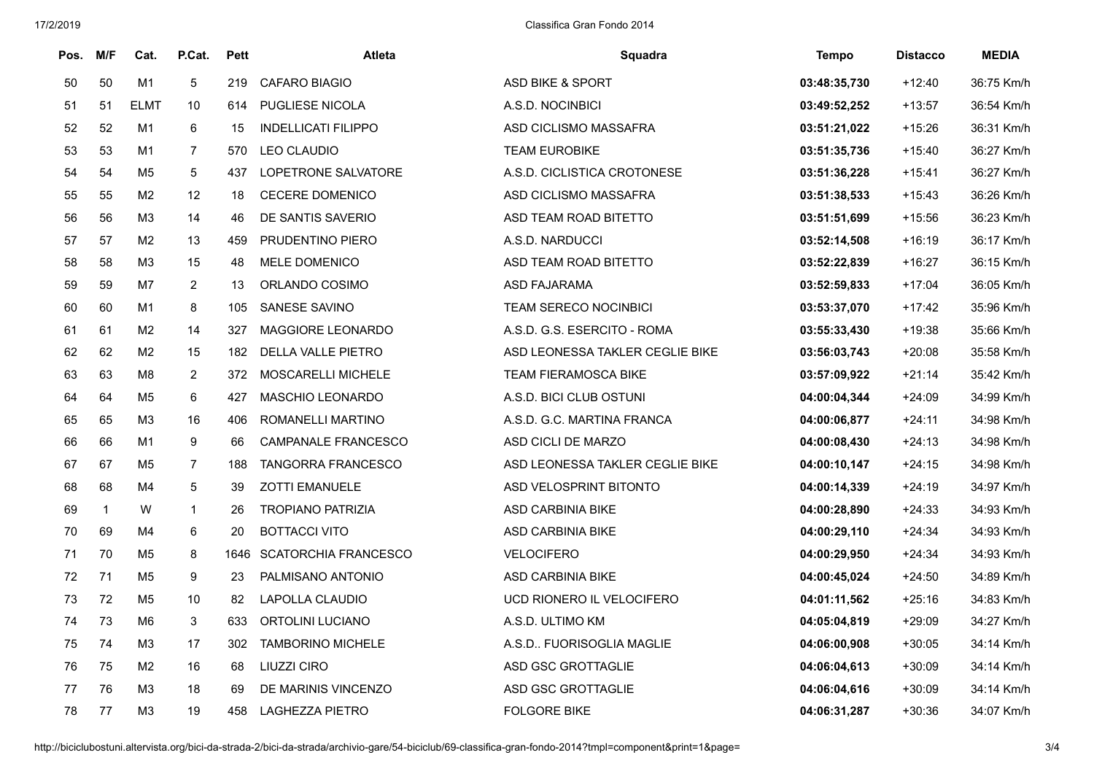| Pos. | M/F          | Cat.           | P.Cat.         | <b>Pett</b> | Atleta                      | Squadra                         | <b>Tempo</b> | <b>Distacco</b> | <b>MEDIA</b> |
|------|--------------|----------------|----------------|-------------|-----------------------------|---------------------------------|--------------|-----------------|--------------|
| 50   | 50           | M1             | 5              | 219         | <b>CAFARO BIAGIO</b>        | <b>ASD BIKE &amp; SPORT</b>     | 03:48:35,730 | $+12:40$        | 36:75 Km/h   |
| 51   | 51           | <b>ELMT</b>    | 10             | 614         | PUGLIESE NICOLA             | A.S.D. NOCINBICI                | 03:49:52,252 | $+13:57$        | 36:54 Km/h   |
| 52   | 52           | M1             | 6              | 15          | <b>INDELLICATI FILIPPO</b>  | ASD CICLISMO MASSAFRA           | 03:51:21,022 | $+15:26$        | 36:31 Km/h   |
| 53   | 53           | M1             | $\overline{7}$ | 570         | <b>LEO CLAUDIO</b>          | <b>TEAM EUROBIKE</b>            | 03:51:35,736 | $+15:40$        | 36:27 Km/h   |
| 54   | 54           | M <sub>5</sub> | 5              | 437         | LOPETRONE SALVATORE         | A.S.D. CICLISTICA CROTONESE     | 03:51:36,228 | $+15:41$        | 36:27 Km/h   |
| 55   | 55           | M2             | 12             | 18          | CECERE DOMENICO             | ASD CICLISMO MASSAFRA           | 03:51:38,533 | $+15:43$        | 36:26 Km/h   |
| 56   | 56           | MЗ             | 14             | 46          | DE SANTIS SAVERIO           | ASD TEAM ROAD BITETTO           | 03:51:51,699 | $+15:56$        | 36:23 Km/h   |
| 57   | 57           | M <sub>2</sub> | 13             | 459         | PRUDENTINO PIERO            | A.S.D. NARDUCCI                 | 03:52:14,508 | $+16:19$        | 36:17 Km/h   |
| 58   | 58           | M <sub>3</sub> | 15             | 48          | MELE DOMENICO               | ASD TEAM ROAD BITETTO           | 03:52:22,839 | $+16:27$        | 36:15 Km/h   |
| 59   | 59           | M7             | $\overline{c}$ | 13          | ORLANDO COSIMO              | ASD FAJARAMA                    | 03:52:59,833 | $+17:04$        | 36:05 Km/h   |
| 60   | 60           | M1             | 8              | 105         | SANESE SAVINO               | <b>TEAM SERECO NOCINBICI</b>    | 03:53:37,070 | $+17:42$        | 35:96 Km/h   |
| 61   | 61           | M <sub>2</sub> | 14             | 327         | MAGGIORE LEONARDO           | A.S.D. G.S. ESERCITO - ROMA     | 03:55:33,430 | $+19:38$        | 35:66 Km/h   |
| 62   | 62           | M <sub>2</sub> | 15             | 182         | DELLA VALLE PIETRO          | ASD LEONESSA TAKLER CEGLIE BIKE | 03:56:03,743 | $+20:08$        | 35:58 Km/h   |
| 63   | 63           | M <sub>8</sub> | $\overline{c}$ | 372         | MOSCARELLI MICHELE          | <b>TEAM FIERAMOSCA BIKE</b>     | 03:57:09,922 | $+21:14$        | 35:42 Km/h   |
| 64   | 64           | M <sub>5</sub> | 6              | 427         | <b>MASCHIO LEONARDO</b>     | A.S.D. BICI CLUB OSTUNI         | 04:00:04,344 | $+24:09$        | 34:99 Km/h   |
| 65   | 65           | M3             | 16             | 406         | ROMANELLI MARTINO           | A.S.D. G.C. MARTINA FRANCA      | 04:00:06,877 | $+24:11$        | 34:98 Km/h   |
| 66   | 66           | M1             | 9              | 66          | <b>CAMPANALE FRANCESCO</b>  | ASD CICLI DE MARZO              | 04:00:08,430 | $+24:13$        | 34:98 Km/h   |
| 67   | 67           | M5             | 7              | 188         | <b>TANGORRA FRANCESCO</b>   | ASD LEONESSA TAKLER CEGLIE BIKE | 04:00:10,147 | $+24:15$        | 34:98 Km/h   |
| 68   | 68           | M4             | 5              | 39          | <b>ZOTTI EMANUELE</b>       | <b>ASD VELOSPRINT BITONTO</b>   | 04:00:14,339 | $+24:19$        | 34:97 Km/h   |
| 69   | $\mathbf{1}$ | W              | $\mathbf{1}$   | 26          | <b>TROPIANO PATRIZIA</b>    | <b>ASD CARBINIA BIKE</b>        | 04:00:28,890 | $+24:33$        | 34:93 Km/h   |
| 70   | 69           | M4             | 6              | 20          | <b>BOTTACCI VITO</b>        | <b>ASD CARBINIA BIKE</b>        | 04:00:29,110 | $+24:34$        | 34:93 Km/h   |
| 71   | 70           | M <sub>5</sub> | 8              | 1646        | <b>SCATORCHIA FRANCESCO</b> | <b>VELOCIFERO</b>               | 04:00:29,950 | $+24:34$        | 34:93 Km/h   |
| 72   | 71           | M <sub>5</sub> | 9              | 23          | PALMISANO ANTONIO           | ASD CARBINIA BIKE               | 04:00:45,024 | $+24:50$        | 34:89 Km/h   |
| 73   | 72           | M <sub>5</sub> | 10             | 82          | LAPOLLA CLAUDIO             | UCD RIONERO IL VELOCIFERO       | 04:01:11,562 | $+25:16$        | 34:83 Km/h   |
| 74   | 73           | M6             | 3              | 633         | ORTOLINI LUCIANO            | A.S.D. ULTIMO KM                | 04:05:04,819 | $+29:09$        | 34:27 Km/h   |
| 75   | 74           | M3             | 17             | 302         | <b>TAMBORINO MICHELE</b>    | A.S.D FUORISOGLIA MAGLIE        | 04:06:00,908 | $+30:05$        | 34:14 Km/h   |
| 76   | 75           | M <sub>2</sub> | 16             | 68          | LIUZZI CIRO                 | ASD GSC GROTTAGLIE              | 04:06:04,613 | $+30:09$        | 34:14 Km/h   |
| 77   | 76           | M3             | 18             | 69          | DE MARINIS VINCENZO         | ASD GSC GROTTAGLIE              | 04:06:04,616 | $+30:09$        | 34:14 Km/h   |
| 78   | 77           | M3             | 19             | 458         | <b>LAGHEZZA PIETRO</b>      | <b>FOLGORE BIKE</b>             | 04:06:31.287 | $+30:36$        | 34:07 Km/h   |